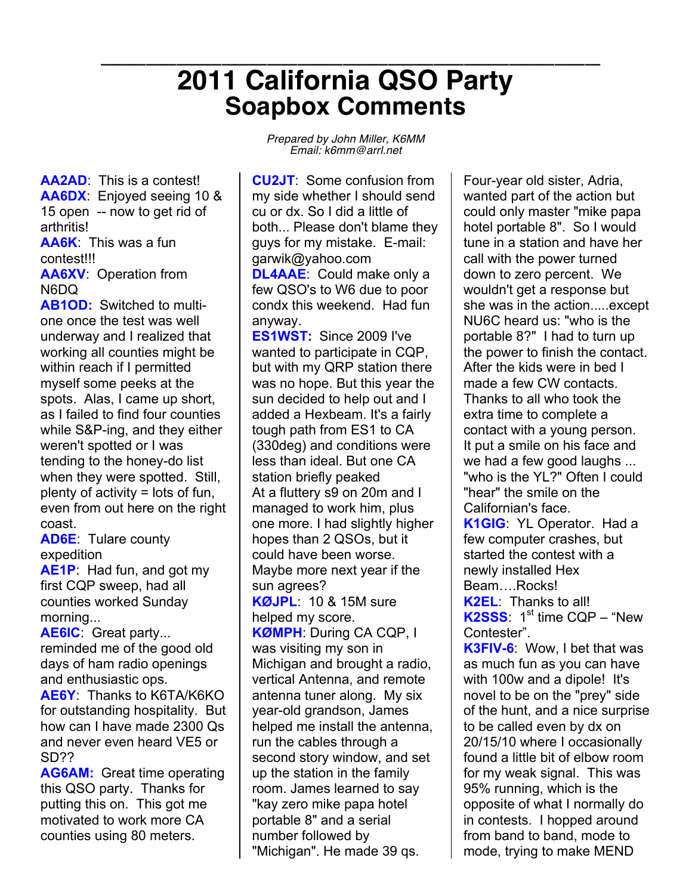## **\_\_\_\_\_\_\_\_\_\_\_\_\_\_\_\_\_\_\_\_\_\_\_\_\_\_\_\_\_\_\_\_\_ <sup>2011</sup> California QSO Party Soapbox Comments**

**AA2AD**: This is a contest! **AA6DX**: Enjoyed seeing 10 & 15 open -- now to get rid of arthritis! **AA6K**: This was a fun contest!!! **AA6XV**: Operation from

N6DQ

**AB1OD:** Switched to multione once the test was well underway and I realized that working all counties might be within reach if I permitted myself some peeks at the spots. Alas, I came up short, as I failed to find four counties while S&P-ing, and they either weren't spotted or I was tending to the honey-do list when they were spotted. Still, plenty of activity = lots of fun, even from out here on the right coast.

**AD6E**: Tulare county expedition

**AE1P**: Had fun, and got my first CQP sweep, had all counties worked Sunday morning...

**AE6IC**: Great party... reminded me of the good old days of ham radio openings and enthusiastic ops.

**AE6Y**: Thanks to K6TA/K6KO for outstanding hospitality. But how can I have made 2300 Qs and never even heard VE5 or SD??

**AG6AM:** Great time operating this QSO party. Thanks for putting this on. This got me motivated to work more CA counties using 80 meters.

*Prepared by John Miller, K6MM Email: k6mm@arrl.net*

**CU2JT**: Some confusion from my side whether I should send cu or dx. So I did a little of both... Please don't blame they guys for my mistake. E-mail: garwik@yahoo.com **DL4AAE**: Could make only a few QSO's to W6 due to poor condx this weekend. Had fun anyway.

**ES1WST:** Since 2009 I've wanted to participate in CQP, but with my QRP station there was no hope. But this year the sun decided to help out and I added a Hexbeam. It's a fairly tough path from ES1 to CA (330deg) and conditions were less than ideal. But one CA station briefly peaked At a fluttery s9 on 20m and I managed to work him, plus one more. I had slightly higher hopes than 2 QSOs, but it could have been worse. Maybe more next year if the sun agrees?

**KØJPL**: 10 & 15M sure helped my score.

**KØMPH**: During CA CQP, I was visiting my son in Michigan and brought a radio, vertical Antenna, and remote antenna tuner along. My six year-old grandson, James helped me install the antenna, run the cables through a second story window, and set up the station in the family room. James learned to say "kay zero mike papa hotel portable 8" and a serial number followed by "Michigan". He made 39 qs.

Four-year old sister, Adria, wanted part of the action but could only master "mike papa hotel portable 8". So I would tune in a station and have her call with the power turned down to zero percent. We wouldn't get a response but she was in the action.....except NU6C heard us: "who is the portable 8?" I had to turn up the power to finish the contact. After the kids were in bed I made a few CW contacts. Thanks to all who took the extra time to complete a contact with a young person. It put a smile on his face and we had a few good laughs ... "who is the YL?" Often I could "hear" the smile on the Californian's face.

**K1GIG**: YL Operator. Had a few computer crashes, but started the contest with a newly installed Hex Beam….Rocks! **K2EL**: Thanks to all!  $K2SSS: 1<sup>st</sup>$  time CQP – "New Contester".

**K3FIV-6**: Wow, I bet that was as much fun as you can have with 100w and a dipole! It's novel to be on the "prey" side of the hunt, and a nice surprise to be called even by dx on 20/15/10 where I occasionally found a little bit of elbow room for my weak signal. This was 95% running, which is the opposite of what I normally do in contests. I hopped around from band to band, mode to mode, trying to make MEND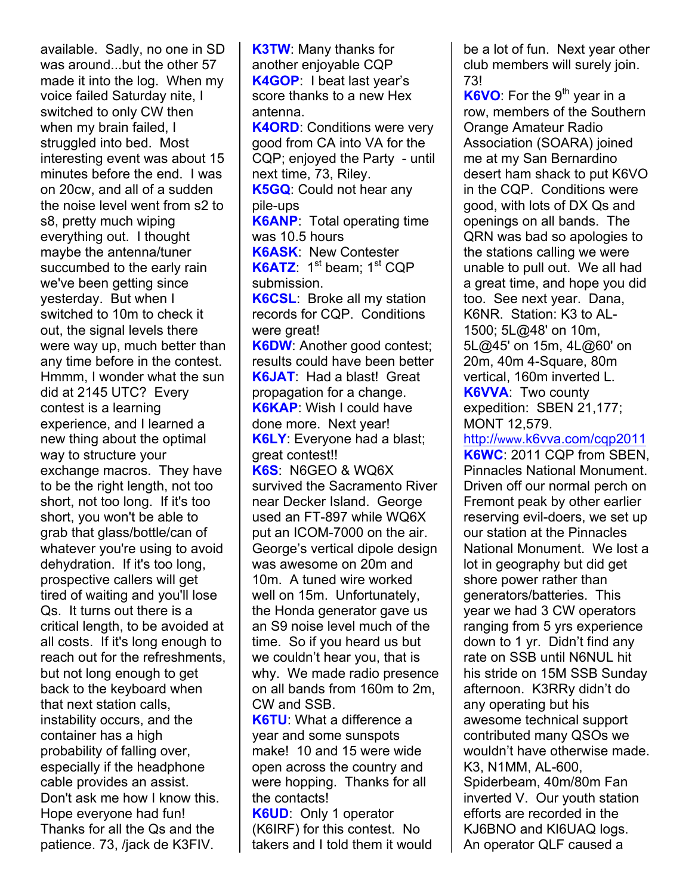available. Sadly, no one in SD was around...but the other 57 made it into the log. When my voice failed Saturday nite, I switched to only CW then when my brain failed, I struggled into bed. Most interesting event was about 15 minutes before the end. I was on 20cw, and all of a sudden the noise level went from s2 to s8, pretty much wiping everything out. I thought maybe the antenna/tuner succumbed to the early rain we've been getting since yesterday. But when I switched to 10m to check it out, the signal levels there were way up, much better than any time before in the contest. Hmmm, I wonder what the sun did at 2145 UTC? Every contest is a learning experience, and I learned a new thing about the optimal way to structure your exchange macros. They have to be the right length, not too short, not too long. If it's too short, you won't be able to grab that glass/bottle/can of whatever you're using to avoid dehydration. If it's too long, prospective callers will get tired of waiting and you'll lose Qs. It turns out there is a critical length, to be avoided at all costs. If it's long enough to reach out for the refreshments, but not long enough to get back to the keyboard when that next station calls, instability occurs, and the container has a high probability of falling over, especially if the headphone cable provides an assist. Don't ask me how I know this. Hope everyone had fun! Thanks for all the Qs and the patience. 73, /jack de K3FIV.

**K3TW**: Many thanks for another enjoyable CQP **K4GOP**: I beat last year's score thanks to a new Hex antenna. **K4ORD**: Conditions were very good from CA into VA for the CQP; enjoyed the Party - until next time, 73, Riley. **K5GQ**: Could not hear any pile-ups **K6ANP**: Total operating time was 10.5 hours **K6ASK**: New Contester K6ATZ: 1<sup>st</sup> beam; 1<sup>st</sup> CQP submission. **K6CSL**: Broke all my station records for CQP. Conditions were great! **K6DW**: Another good contest; results could have been better **K6JAT**: Had a blast! Great propagation for a change. **K6KAP**: Wish I could have done more. Next year! **K6LY**: Everyone had a blast; great contest!! **K6S**: N6GEO & WQ6X survived the Sacramento River near Decker Island. George used an FT-897 while WQ6X put an ICOM-7000 on the air. George's vertical dipole design was awesome on 20m and 10m. A tuned wire worked well on 15m. Unfortunately, the Honda generator gave us an S9 noise level much of the time. So if you heard us but we couldn't hear you, that is why. We made radio presence on all bands from 160m to 2m, CW and SSB. **K6TU**: What a difference a year and some sunspots make! 10 and 15 were wide open across the country and were hopping. Thanks for all the contacts! **K6UD**: Only 1 operator (K6IRF) for this contest. No takers and I told them it would

be a lot of fun. Next year other club members will surely join. 73!

**K6VO**: For the 9<sup>th</sup> year in a row, members of the Southern Orange Amateur Radio Association (SOARA) joined me at my San Bernardino desert ham shack to put K6VO in the CQP. Conditions were good, with lots of DX Qs and openings on all bands. The QRN was bad so apologies to the stations calling we were unable to pull out. We all had a great time, and hope you did too. See next year. Dana, K6NR. Station: K3 to AL-1500; 5L@48' on 10m, 5L@45' on 15m, 4L@60' on 20m, 40m 4-Square, 80m vertical, 160m inverted L. **K6VVA**: Two county expedition: SBEN 21,177;

MONT 12,579.

http://www.k6vva.com/cqp2011 **K6WC**: 2011 CQP from SBEN, Pinnacles National Monument. Driven off our normal perch on Fremont peak by other earlier reserving evil-doers, we set up our station at the Pinnacles National Monument. We lost a lot in geography but did get shore power rather than generators/batteries. This year we had 3 CW operators ranging from 5 yrs experience down to 1 yr. Didn't find any rate on SSB until N6NUL hit his stride on 15M SSB Sunday afternoon. K3RRy didn't do any operating but his awesome technical support contributed many QSOs we wouldn't have otherwise made. K3, N1MM, AL-600, Spiderbeam, 40m/80m Fan inverted V. Our youth station efforts are recorded in the KJ6BNO and KI6UAQ logs. An operator QLF caused a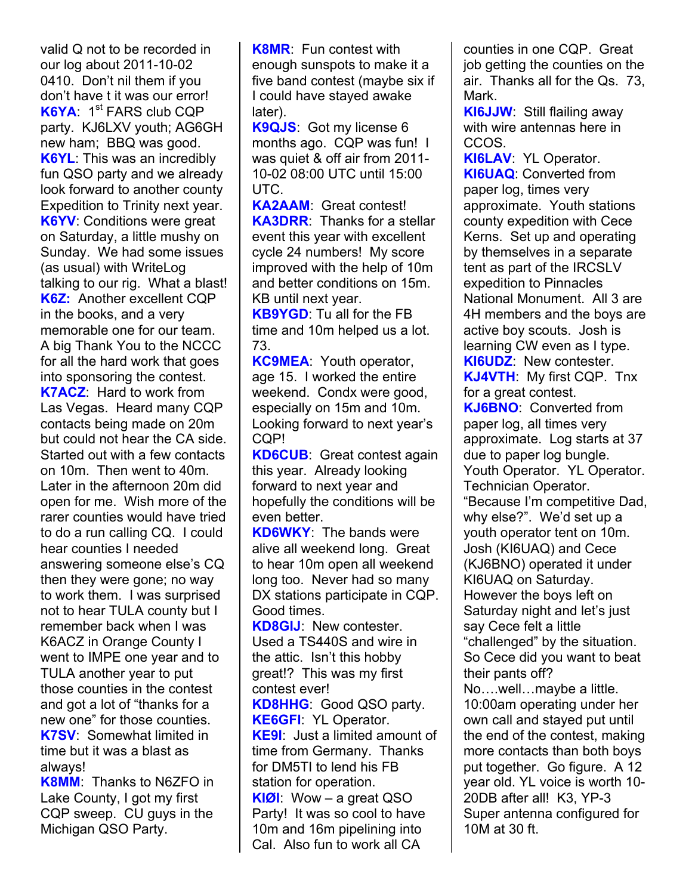valid Q not to be recorded in our log about 2011-10-02 0410. Don't nil them if you don't have t it was our error! **K6YA**: 1<sup>st</sup> FARS club CQP party. KJ6LXV youth; AG6GH new ham; BBQ was good. **K6YL**: This was an incredibly fun QSO party and we already look forward to another county Expedition to Trinity next year. **K6YV**: Conditions were great on Saturday, a little mushy on Sunday. We had some issues (as usual) with WriteLog talking to our rig. What a blast! **K6Z:** Another excellent CQP in the books, and a very memorable one for our team. A big Thank You to the NCCC for all the hard work that goes into sponsoring the contest. **K7ACZ**: Hard to work from Las Vegas. Heard many CQP contacts being made on 20m but could not hear the CA side. Started out with a few contacts on 10m. Then went to 40m. Later in the afternoon 20m did open for me. Wish more of the rarer counties would have tried to do a run calling CQ. I could hear counties I needed answering someone else's CQ then they were gone; no way to work them. I was surprised not to hear TULA county but I remember back when I was K6ACZ in Orange County I went to IMPE one year and to TULA another year to put those counties in the contest and got a lot of "thanks for a new one" for those counties. **K7SV**: Somewhat limited in time but it was a blast as always!

**K8MM**: Thanks to N6ZFO in Lake County, I got my first CQP sweep. CU guys in the Michigan QSO Party.

**K8MR**: Fun contest with enough sunspots to make it a five band contest (maybe six if I could have stayed awake later).

**K9QJS**: Got my license 6 months ago. CQP was fun! I was quiet & off air from 2011- 10-02 08:00 UTC until 15:00 UTC.

**KA2AAM**: Great contest! **KA3DRR**: Thanks for a stellar event this year with excellent cycle 24 numbers! My score improved with the help of 10m and better conditions on 15m. KB until next year.

**KB9YGD**: Tu all for the FB time and 10m helped us a lot. 73.

**KC9MEA**: Youth operator, age 15. I worked the entire weekend. Condx were good, especially on 15m and 10m. Looking forward to next year's CQP!

**KD6CUB**: Great contest again this year. Already looking forward to next year and hopefully the conditions will be even better.

**KD6WKY**: The bands were alive all weekend long. Great to hear 10m open all weekend long too. Never had so many DX stations participate in CQP. Good times.

**KD8GIJ**: New contester. Used a TS440S and wire in the attic. Isn't this hobby great!? This was my first contest ever!

**KD8HHG**: Good QSO party. **KE6GFI**: YL Operator. **KE9I**: Just a limited amount of time from Germany. Thanks for DM5TI to lend his FB station for operation. **KIØI**: Wow – a great QSO Party! It was so cool to have 10m and 16m pipelining into Cal. Also fun to work all CA

counties in one CQP. Great job getting the counties on the air. Thanks all for the Qs. 73, Mark.

**KI6JJW**: Still flailing away with wire antennas here in CCOS.

**KI6LAV**: YL Operator. **KI6UAQ**: Converted from paper log, times very approximate. Youth stations county expedition with Cece Kerns. Set up and operating by themselves in a separate tent as part of the IRCSLV expedition to Pinnacles National Monument. All 3 are 4H members and the boys are active boy scouts. Josh is learning CW even as I type. **KI6UDZ**: New contester. **KJ4VTH**: My first CQP. Tnx for a great contest.

**KJ6BNO**: Converted from paper log, all times very approximate. Log starts at 37 due to paper log bungle. Youth Operator. YL Operator. Technician Operator. "Because I'm competitive Dad, why else?". We'd set up a youth operator tent on 10m. Josh (KI6UAQ) and Cece (KJ6BNO) operated it under KI6UAQ on Saturday. However the boys left on Saturday night and let's just say Cece felt a little "challenged" by the situation. So Cece did you want to beat their pants off? No….well…maybe a little. 10:00am operating under her own call and stayed put until the end of the contest, making more contacts than both boys put together. Go figure. A 12 year old. YL voice is worth 10- 20DB after all! K3, YP-3

Super antenna configured for 10M at 30 ft.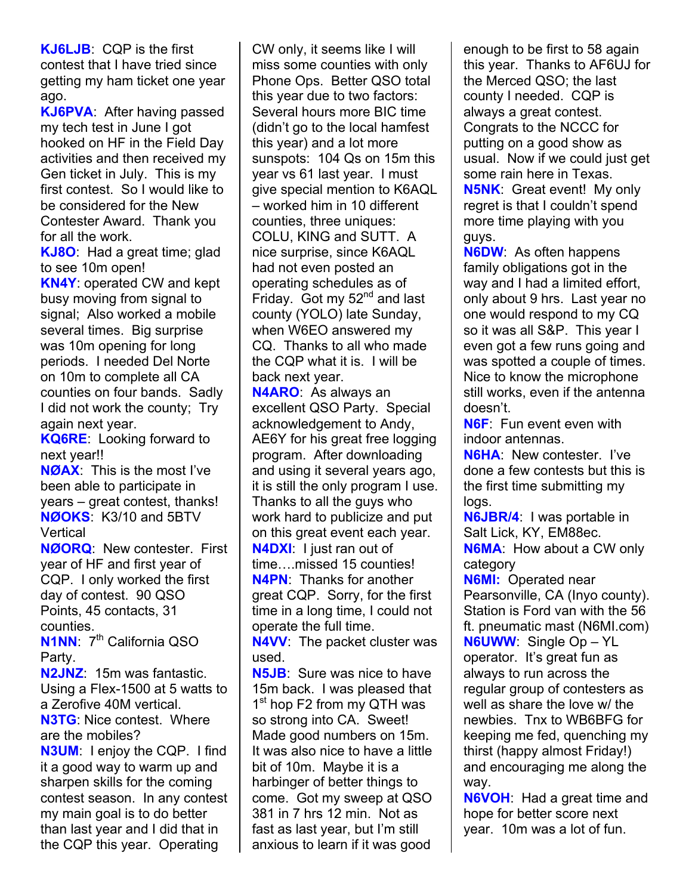**KJ6LJB**: CQP is the first contest that I have tried since getting my ham ticket one year ago.

**KJ6PVA**: After having passed my tech test in June I got hooked on HF in the Field Day activities and then received my Gen ticket in July. This is my first contest. So I would like to be considered for the New Contester Award. Thank you for all the work.

**KJ8O**: Had a great time; glad to see 10m open!

**KN4Y**: operated CW and kept busy moving from signal to signal; Also worked a mobile several times. Big surprise was 10m opening for long periods. I needed Del Norte on 10m to complete all CA counties on four bands. Sadly I did not work the county; Try again next year.

**KQ6RE**: Looking forward to next year!!

**NØAX**: This is the most I've been able to participate in years – great contest, thanks! **NØOKS**: K3/10 and 5BTV **Vertical** 

**NØORQ**: New contester. First year of HF and first year of CQP. I only worked the first day of contest. 90 QSO Points, 45 contacts, 31 counties.

**N1NN:** 7<sup>th</sup> California QSO Party.

**N2JNZ**: 15m was fantastic. Using a Flex-1500 at 5 watts to a Zerofive 40M vertical. **N3TG**: Nice contest. Where are the mobiles? **N3UM**: I enjoy the CQP. I find it a good way to warm up and sharpen skills for the coming contest season. In any contest my main goal is to do better than last year and I did that in the CQP this year. Operating

CW only, it seems like I will miss some counties with only Phone Ops. Better QSO total this year due to two factors: Several hours more BIC time (didn't go to the local hamfest this year) and a lot more sunspots: 104 Qs on 15m this year vs 61 last year. I must give special mention to K6AQL – worked him in 10 different counties, three uniques: COLU, KING and SUTT. A nice surprise, since K6AQL had not even posted an operating schedules as of Friday. Got my  $52<sup>nd</sup>$  and last county (YOLO) late Sunday, when W6EO answered my CQ. Thanks to all who made the CQP what it is. I will be back next year.

**N4ARO**: As always an excellent QSO Party. Special acknowledgement to Andy, AE6Y for his great free logging program. After downloading and using it several years ago, it is still the only program I use. Thanks to all the guys who work hard to publicize and put on this great event each year. **N4DXI**: I just ran out of time….missed 15 counties! **N4PN**: Thanks for another great CQP. Sorry, for the first time in a long time, I could not operate the full time.

**N4VV**: The packet cluster was used.

**N5JB**: Sure was nice to have 15m back. I was pleased that 1<sup>st</sup> hop F2 from my QTH was so strong into CA. Sweet! Made good numbers on 15m. It was also nice to have a little bit of 10m. Maybe it is a harbinger of better things to come. Got my sweep at QSO 381 in 7 hrs 12 min. Not as fast as last year, but I'm still anxious to learn if it was good

enough to be first to 58 again this year. Thanks to AF6UJ for the Merced QSO; the last county I needed. CQP is always a great contest. Congrats to the NCCC for putting on a good show as usual. Now if we could just get some rain here in Texas. **N5NK**: Great event! My only regret is that I couldn't spend more time playing with you guys.

**N6DW**: As often happens family obligations got in the way and I had a limited effort, only about 9 hrs. Last year no one would respond to my CQ so it was all S&P. This year I even got a few runs going and was spotted a couple of times. Nice to know the microphone still works, even if the antenna doesn't.

**N6F**: Fun event even with indoor antennas.

**N6HA**: New contester. I've done a few contests but this is the first time submitting my logs.

**N6JBR/4**: I was portable in Salt Lick, KY, EM88ec. **N6MA**: How about a CW only category

**N6MI:** Operated near Pearsonville, CA (Inyo county). Station is Ford van with the 56 ft. pneumatic mast (N6MI.com) **N6UWW**: Single Op – YL operator. It's great fun as always to run across the regular group of contesters as well as share the love w/ the newbies. Tnx to WB6BFG for keeping me fed, quenching my thirst (happy almost Friday!) and encouraging me along the way.

**N6VOH**: Had a great time and hope for better score next year. 10m was a lot of fun.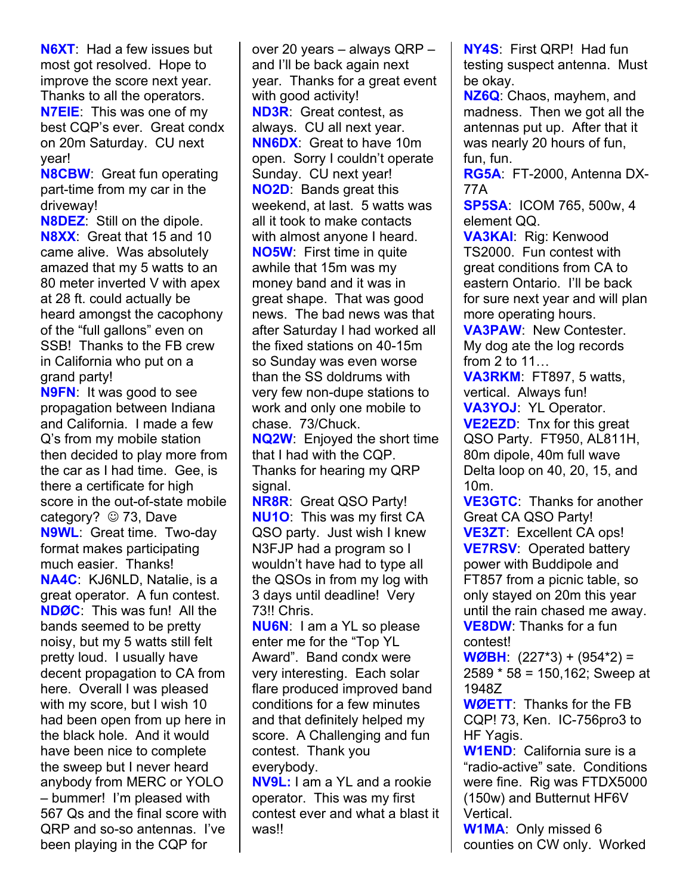**N6XT**: Had a few issues but most got resolved. Hope to improve the score next year. Thanks to all the operators. **N7EIE**: This was one of my best CQP's ever. Great condx on 20m Saturday. CU next year!

**N8CBW**: Great fun operating part-time from my car in the driveway!

**N8DEZ**: Still on the dipole. **N8XX**: Great that 15 and 10 came alive. Was absolutely amazed that my 5 watts to an 80 meter inverted V with apex at 28 ft. could actually be heard amongst the cacophony of the "full gallons" even on SSB! Thanks to the FB crew in California who put on a grand party!

**N9FN**: It was good to see propagation between Indiana and California. I made a few Q's from my mobile station then decided to play more from the car as I had time. Gee, is there a certificate for high score in the out-of-state mobile category?  $\odot$  73, Dave **N9WL**: Great time. Two-day format makes participating much easier. Thanks! **NA4C**: KJ6NLD, Natalie, is a great operator. A fun contest. **NDØC**: This was fun! All the bands seemed to be pretty noisy, but my 5 watts still felt pretty loud. I usually have decent propagation to CA from here. Overall I was pleased with my score, but I wish 10 had been open from up here in the black hole. And it would have been nice to complete the sweep but I never heard anybody from MERC or YOLO – bummer! I'm pleased with 567 Qs and the final score with QRP and so-so antennas. I've been playing in the CQP for

over 20 years – always QRP – and I'll be back again next year. Thanks for a great event with good activity! **ND3R**: Great contest, as always. CU all next year. **NN6DX**: Great to have 10m open. Sorry I couldn't operate Sunday. CU next year! **NO2D**: Bands great this weekend, at last. 5 watts was all it took to make contacts with almost anyone I heard. **NO5W**: First time in quite awhile that 15m was my money band and it was in great shape. That was good news. The bad news was that after Saturday I had worked all the fixed stations on 40-15m so Sunday was even worse than the SS doldrums with very few non-dupe stations to work and only one mobile to chase. 73/Chuck.

**NQ2W**: Enjoyed the short time that I had with the CQP. Thanks for hearing my QRP signal.

**NR8R**: Great QSO Party! **NU1O**: This was my first CA QSO party. Just wish I knew N3FJP had a program so I wouldn't have had to type all the QSOs in from my log with 3 days until deadline! Very 73!! Chris.

**NU6N**: I am a YL so please enter me for the "Top YL Award". Band condx were very interesting. Each solar flare produced improved band conditions for a few minutes and that definitely helped my score. A Challenging and fun contest. Thank you everybody.

**NV9L:** I am a YL and a rookie operator. This was my first contest ever and what a blast it was!!

**NY4S**: First QRP! Had fun testing suspect antenna. Must be okay.

**NZ6Q**: Chaos, mayhem, and madness. Then we got all the antennas put up. After that it was nearly 20 hours of fun, fun, fun.

**RG5A**: FT-2000, Antenna DX-77A

**SP5SA**: ICOM 765, 500w, 4 element QQ.

**VA3KAI**: Rig: Kenwood TS2000. Fun contest with great conditions from CA to eastern Ontario. I'll be back for sure next year and will plan more operating hours.

**VA3PAW**: New Contester. My dog ate the log records from 2 to 11…

**VA3RKM**: FT897, 5 watts, vertical. Always fun! **VA3YOJ**: YL Operator. **VE2EZD**: Tnx for this great QSO Party. FT950, AL811H, 80m dipole, 40m full wave Delta loop on 40, 20, 15, and 10m.

**VE3GTC**: Thanks for another Great CA QSO Party! **VE3ZT**: Excellent CA ops! **VE7RSV**: Operated battery power with Buddipole and FT857 from a picnic table, so only stayed on 20m this year until the rain chased me away. **VE8DW**: Thanks for a fun contest!

**WØBH**: (227\*3) + (954\*2) = 2589 \* 58 = 150,162; Sweep at 1948Z

**WØETT**: Thanks for the FB CQP! 73, Ken. IC-756pro3 to HF Yagis.

**W1END**: California sure is a "radio-active" sate. Conditions were fine. Rig was FTDX5000 (150w) and Butternut HF6V Vertical.

**W1MA**: Only missed 6 counties on CW only. Worked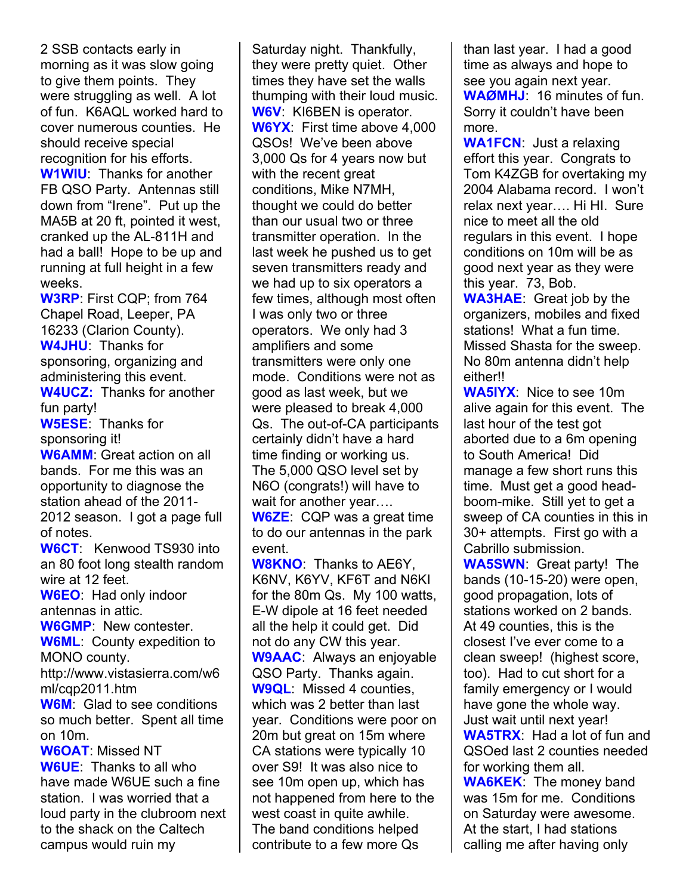2 SSB contacts early in morning as it was slow going to give them points. They were struggling as well. A lot of fun. K6AQL worked hard to cover numerous counties. He should receive special recognition for his efforts. **W1WIU**: Thanks for another FB QSO Party. Antennas still down from "Irene". Put up the MA5B at 20 ft, pointed it west, cranked up the AL-811H and had a ball! Hope to be up and running at full height in a few weeks.

**W3RP**: First CQP; from 764 Chapel Road, Leeper, PA 16233 (Clarion County). **W4JHU**: Thanks for sponsoring, organizing and administering this event. **W4UCZ:** Thanks for another fun party! **W5ESE**: Thanks for sponsoring it! **W6AMM**: Great action on all bands. For me this was an opportunity to diagnose the station ahead of the 2011- 2012 season. I got a page full of notes.

**W6CT**: Kenwood TS930 into an 80 foot long stealth random wire at 12 feet. **W6EO**: Had only indoor

antennas in attic.

**W6GMP**: New contester. **W6ML**: County expedition to MONO county.

http://www.vistasierra.com/w6 ml/cqp2011.htm

**W6M**: Glad to see conditions so much better. Spent all time on 10m.

**W6OAT**: Missed NT **W6UE**: Thanks to all who have made W6UE such a fine station. I was worried that a loud party in the clubroom next to the shack on the Caltech campus would ruin my

Saturday night. Thankfully, they were pretty quiet. Other times they have set the walls thumping with their loud music. **W6V**: KI6BEN is operator. **W6YX**: First time above 4,000 QSOs! We've been above 3,000 Qs for 4 years now but with the recent great conditions, Mike N7MH, thought we could do better than our usual two or three transmitter operation. In the last week he pushed us to get seven transmitters ready and we had up to six operators a few times, although most often I was only two or three operators. We only had 3 amplifiers and some transmitters were only one mode. Conditions were not as good as last week, but we were pleased to break 4,000 Qs. The out-of-CA participants certainly didn't have a hard time finding or working us. The 5,000 QSO level set by N6O (congrats!) will have to wait for another year….

**W6ZE**: CQP was a great time to do our antennas in the park event.

**W8KNO**: Thanks to AE6Y, K6NV, K6YV, KF6T and N6KI for the 80m Qs. My 100 watts, E-W dipole at 16 feet needed all the help it could get. Did not do any CW this year. **W9AAC**: Always an enjoyable QSO Party. Thanks again. **W9QL**: Missed 4 counties, which was 2 better than last year. Conditions were poor on 20m but great on 15m where CA stations were typically 10 over S9! It was also nice to see 10m open up, which has not happened from here to the west coast in quite awhile. The band conditions helped contribute to a few more Qs

than last year. I had a good time as always and hope to see you again next year. **WAØMHJ**: 16 minutes of fun. Sorry it couldn't have been more.

**WA1FCN**: Just a relaxing effort this year. Congrats to Tom K4ZGB for overtaking my 2004 Alabama record. I won't relax next year…. Hi HI. Sure nice to meet all the old regulars in this event. I hope conditions on 10m will be as good next year as they were this year. 73, Bob.

**WA3HAE**: Great job by the organizers, mobiles and fixed stations! What a fun time. Missed Shasta for the sweep. No 80m antenna didn't help either!!

**WA5IYX**: Nice to see 10m alive again for this event. The last hour of the test got aborted due to a 6m opening to South America! Did manage a few short runs this time. Must get a good headboom-mike. Still yet to get a sweep of CA counties in this in 30+ attempts. First go with a Cabrillo submission.

**WA5SWN**: Great party! The bands (10-15-20) were open, good propagation, lots of stations worked on 2 bands. At 49 counties, this is the closest I've ever come to a clean sweep! (highest score, too). Had to cut short for a family emergency or I would have gone the whole way. Just wait until next year! **WA5TRX**: Had a lot of fun and

QSOed last 2 counties needed for working them all.

**WA6KEK**: The money band was 15m for me. Conditions on Saturday were awesome. At the start, I had stations calling me after having only